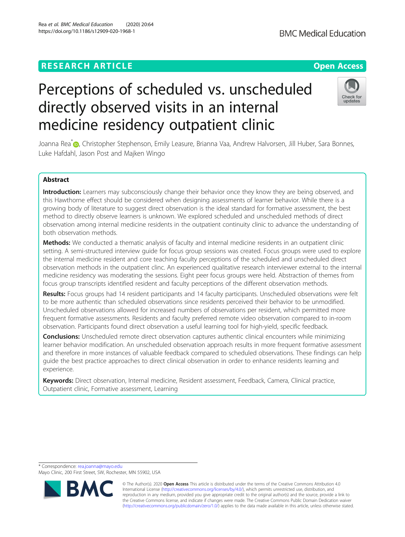# **RESEARCH ARTICLE Example 2014 12:30 The Contract of Contract ACCESS**

# Perceptions of scheduled vs. unscheduled directly observed visits in an internal medicine residency outpatient clinic

Joanna Rea<sup>[\\*](http://orcid.org/0000-0003-3071-5405)</sup> <sub>(D</sub>, Christopher Stephenson, Emily Leasure, Brianna Vaa, Andrew Halvorsen, Jill Huber, Sara Bonnes, Luke Hafdahl, Jason Post and Majken Wingo

# Abstract

Introduction: Learners may subconsciously change their behavior once they know they are being observed, and this Hawthorne effect should be considered when designing assessments of learner behavior. While there is a growing body of literature to suggest direct observation is the ideal standard for formative assessment, the best method to directly observe learners is unknown. We explored scheduled and unscheduled methods of direct observation among internal medicine residents in the outpatient continuity clinic to advance the understanding of both observation methods.

**Methods:** We conducted a thematic analysis of faculty and internal medicine residents in an outpatient clinic setting. A semi-structured interview guide for focus group sessions was created. Focus groups were used to explore the internal medicine resident and core teaching faculty perceptions of the scheduled and unscheduled direct observation methods in the outpatient clinc. An experienced qualitative research interviewer external to the internal medicine residency was moderating the sessions. Eight peer focus groups were held. Abstraction of themes from focus group transcripts identified resident and faculty perceptions of the different observation methods.

Results: Focus groups had 14 resident participants and 14 faculty participants. Unscheduled observations were felt to be more authentic than scheduled observations since residents perceived their behavior to be unmodified. Unscheduled observations allowed for increased numbers of observations per resident, which permitted more frequent formative assessments. Residents and faculty preferred remote video observation compared to in-room observation. Participants found direct observation a useful learning tool for high-yield, specific feedback.

**Conclusions:** Unscheduled remote direct observation captures authentic clinical encounters while minimizing learner behavior modification. An unscheduled observation approach results in more frequent formative assessment and therefore in more instances of valuable feedback compared to scheduled observations. These findings can help guide the best practice approaches to direct clinical observation in order to enhance residents learning and experience.

Keywords: Direct observation, Internal medicine, Resident assessment, Feedback, Camera, Clinical practice, Outpatient clinic, Formative assessment, Learning

\* Correspondence: [rea.joanna@mayo.edu](mailto:rea.joanna@mayo.edu)

Mayo Clinic, 200 First Street, SW, Rochester, MN 55902, USA





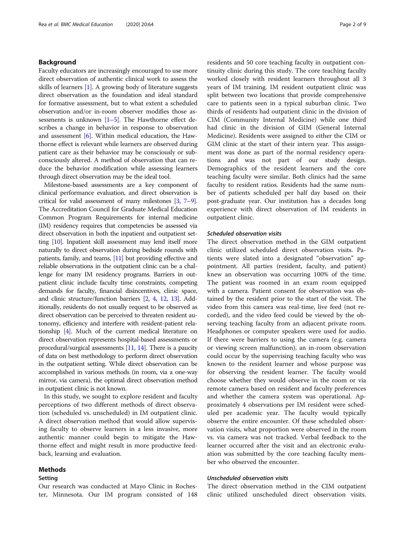# Background

Faculty educators are increasingly encouraged to use more direct observation of authentic clinical work to assess the skills of learners [\[1](#page-7-0)]. A growing body of literature suggests direct observation as the foundation and ideal standard for formative assessment, but to what extent a scheduled observation and/or in-room observer modifies those assessments is unknown  $[1–5]$  $[1–5]$  $[1–5]$  $[1–5]$  $[1–5]$ . The Hawthorne effect describes a change in behavior in response to observation and assessment [\[6](#page-7-0)]. Within medical education, the Hawthorne effect is relevant while learners are observed during patient care as their behavior may be consciously or subconsciously altered. A method of observation that can reduce the behavior modification while assessing learners through direct observation may be the ideal tool.

Milestone-based assessments are a key component of clinical performance evaluation, and direct observation is critical for valid assessment of many milestones [\[3,](#page-7-0) [7](#page-7-0)–[9](#page-7-0)]. The Accreditation Council for Graduate Medical Education Common Program Requirements for internal medicine (IM) residency requires that competencies be assessed via direct observation in both the inpatient and outpatient setting [\[10\]](#page-7-0). Inpatient skill assessment may lend itself more naturally to direct observation during bedside rounds with patients, family, and teams, [\[11\]](#page-7-0) but providing effective and reliable observations in the outpatient clinic can be a challenge for many IM residency programs. Barriers in outpatient clinic include faculty time constraints, competing demands for faculty, financial disincentives, clinic space, and clinic structure/function barriers [[2](#page-7-0), [4](#page-7-0), [12](#page-7-0), [13\]](#page-8-0). Additionally, residents do not usually request to be observed as direct observation can be perceived to threaten resident autonomy, efficiency and interfere with resident-patient relationship [\[4](#page-7-0)]. Much of the current medical literature on direct observation represents hospital-based assessments or procedural/surgical assessments [\[11](#page-7-0), [14\]](#page-8-0). There is a paucity of data on best methodology to perform direct observation in the outpatient setting. While direct observation can be accomplished in various methods (in room, via a one-way mirror, via camera), the optimal direct observation method in outpatient clinic is not known.

In this study, we sought to explore resident and faculty perceptions of two different methods of direct observation (scheduled vs. unscheduled) in IM outpatient clinic. A direct observation method that would allow supervising faculty to observe learners in a less invasive, more authentic manner could begin to mitigate the Hawthorne effect and might result in more productive feedback, learning and evaluation.

# Methods

# Setting

residents and 50 core teaching faculty in outpatient continuity clinic during this study. The core teaching faculty worked closely with resident learners throughout all 3 years of IM training. IM resident outpatient clinic was split between two locations that provide comprehensive care to patients seen in a typical suburban clinic. Two thirds of residents had outpatient clinic in the division of CIM (Community Internal Medicine) while one third had clinic in the division of GIM (General Internal Medicine). Residents were assigned to either the CIM or GIM clinic at the start of their intern year. This assignment was done as part of the normal residency operations and was not part of our study design. Demographics of the resident learners and the core teaching faculty were similar. Both clinics had the same faculty to resident ratios. Residents had the same number of patients scheduled per half day based on their post-graduate year. Our institution has a decades long experience with direct observation of IM residents in outpatient clinic.

# Scheduled observation visits

The direct observation method in the GIM outpatient clinic utilized scheduled direct observation visits. Patients were slated into a designated "observation" appointment. All parties (resident, faculty, and patient) knew an observation was occurring 100% of the time. The patient was roomed in an exam room equipped with a camera. Patient consent for observation was obtained by the resident prior to the start of the visit. The video from this camera was real-time, live feed (not recorded), and the video feed could be viewed by the observing teaching faculty from an adjacent private room. Headphones or computer speakers were used for audio. If there were barriers to using the camera (e.g. camera or viewing screen malfunction), an in-room observation could occur by the supervising teaching faculty who was known to the resident learner and whose purpose was for observing the resident learner. The faculty would choose whether they would observe in the room or via remote camera based on resident and faculty preferences and whether the camera system was operational. Approximately 4 observations per IM resident were scheduled per academic year. The faculty would typically observe the entire encounter. Of these scheduled observation visits, what proportion were observed in the room vs. via camera was not tracked. Verbal feedback to the learner occurred after the visit and an electronic evaluation was submitted by the core teaching faculty member who observed the encounter.

# Unscheduled observation visits

The direct observation method in the CIM outpatient clinic utilized unscheduled direct observation visits.

Our research was conducted at Mayo Clinic in Rochester, Minnesota. Our IM program consisted of 148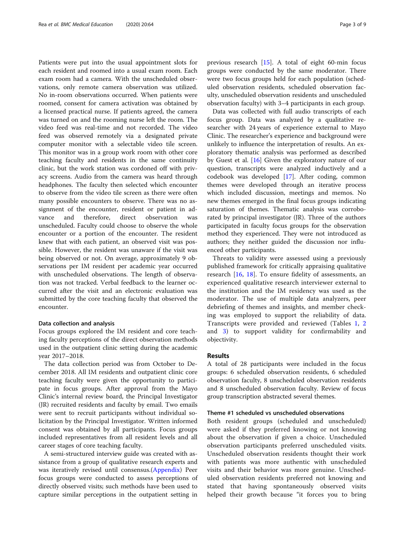Patients were put into the usual appointment slots for each resident and roomed into a usual exam room. Each exam room had a camera. With the unscheduled observations, only remote camera observation was utilized. No in-room observations occurred. When patients were roomed, consent for camera activation was obtained by a licensed practical nurse. If patients agreed, the camera was turned on and the rooming nurse left the room. The video feed was real-time and not recorded. The video feed was observed remotely via a designated private computer monitor with a selectable video tile screen. This monitor was in a group work room with other core teaching faculty and residents in the same continuity clinic, but the work station was cordoned off with privacy screens. Audio from the camera was heard through headphones. The faculty then selected which encounter to observe from the video tile screen as there were often many possible encounters to observe. There was no assignment of the encounter, resident or patient in advance and therefore, direct observation was unscheduled. Faculty could choose to observe the whole encounter or a portion of the encounter. The resident knew that with each patient, an observed visit was possible. However, the resident was unaware if the visit was being observed or not. On average, approximately 9 observations per IM resident per academic year occurred with unscheduled observations. The length of observation was not tracked. Verbal feedback to the learner occurred after the visit and an electronic evaluation was submitted by the core teaching faculty that observed the encounter.

# Data collection and analysis

Focus groups explored the IM resident and core teaching faculty perceptions of the direct observation methods used in the outpatient clinic setting during the academic year 2017–2018.

The data collection period was from October to December 2018. All IM residents and outpatient clinic core teaching faculty were given the opportunity to participate in focus groups. After approval from the Mayo Clinic's internal review board, the Principal Investigator (JR) recruited residents and faculty by email. Two emails were sent to recruit participants without individual solicitation by the Principal Investigator. Written informed consent was obtained by all participants. Focus groups included representatives from all resident levels and all career stages of core teaching faculty.

A semi-structured interview guide was created with assistance from a group of qualitative research experts and was iteratively revised until consensus.([Appendix\)](#page-6-0) Peer focus groups were conducted to assess perceptions of directly observed visits; such methods have been used to capture similar perceptions in the outpatient setting in

previous research [\[15\]](#page-8-0). A total of eight 60-min focus groups were conducted by the same moderator. There were two focus groups held for each population (scheduled observation residents, scheduled observation faculty, unscheduled observation residents and unscheduled observation faculty) with 3–4 participants in each group.

Data was collected with full audio transcripts of each focus group. Data was analyzed by a qualitative researcher with 24 years of experience external to Mayo Clinic. The researcher's experience and background were unlikely to influence the interpretation of results. An exploratory thematic analysis was performed as described by Guest et al. [\[16](#page-8-0)] Given the exploratory nature of our question, transcripts were analyzed inductively and a codebook was developed [[17\]](#page-8-0). After coding, common themes were developed through an iterative process which included discussion, meetings and memos. No new themes emerged in the final focus groups indicating saturation of themes. Thematic analysis was corroborated by principal investigator (JR). Three of the authors participated in faculty focus groups for the observation method they experienced. They were not introduced as authors; they neither guided the discussion nor influenced other participants.

Threats to validity were assessed using a previously published framework for critically appraising qualitative research [[16,](#page-8-0) [18\]](#page-8-0). To ensure fidelity of assessments, an experienced qualitative research interviewer external to the institution and the IM residency was used as the moderator. The use of multiple data analyzers, peer debriefing of themes and insights, and member checking was employed to support the reliability of data. Transcripts were provided and reviewed (Tables [1](#page-3-0), [2](#page-4-0) and [3\)](#page-4-0) to support validity for confirmability and objectivity.

# Results

A total of 28 participants were included in the focus groups: 6 scheduled observation residents, 6 scheduled observation faculty, 8 unscheduled observation residents and 8 unscheduled observation faculty. Review of focus group transcription abstracted several themes.

#### Theme #1 scheduled vs unscheduled observations

Both resident groups (scheduled and unscheduled) were asked if they preferred knowing or not knowing about the observation if given a choice. Unscheduled observation participants preferred unscheduled visits. Unscheduled observation residents thought their work with patients was more authentic with unscheduled visits and their behavior was more genuine. Unscheduled observation residents preferred not knowing and stated that having spontaneously observed visits helped their growth because "it forces you to bring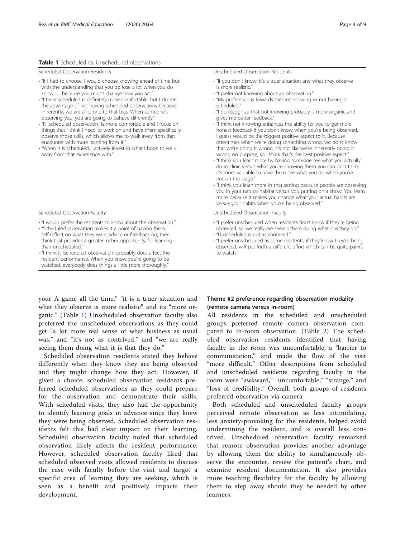# <span id="page-3-0"></span>Table 1 Scheduled vs. Unscheduled observations

- "If I had to choose, I would choose knowing ahead of time but with the understanding that you do lose a lot when you do know ... because you might change how you act."
- "I think scheduled is definitely more comfortable, but I do see the advantage of not having scheduled observations because, inherently, we are all prone to that bias. When someone's observing you, you are going to behave differently."
- "It [scheduled observation] is more comfortable and I focus on things that I think I need to work on and have them specifically observe those skills, which allows me to walk away from that encounter with more learning from it."
- "When it is scheduled, I actively invest in what I hope to walk away from that experience with."

- "I would prefer the residents to know about the observation."
- "Scheduled observation makes it a point of having them self-reflect on what they want advice or feedback on, then I think that provides a greater, richer opportunity for learning than unscheduled."
- "I think it [scheduled observation] probably does affect the resident performance. When you know you're going to be watched, everybody does things a little more thoroughly.'

your A game all the time," "it is a truer situation and what they observe is more realistic" and its "more organic." (Table 1) Unscheduled observation faculty also preferred the unscheduled observations as they could get "a lot more real sense of what business as usual was," and "it's not as contrived," and "we are really seeing them doing what it is that they do."

Scheduled observation residents stated they behave differently when they know they are being observed and they might change how they act. However, if given a choice, scheduled observation residents preferred scheduled observations as they could prepare for the observation and demonstrate their skills. With scheduled visits, they also had the opportunity to identify learning goals in advance since they knew they were being observed. Scheduled observation residents felt this had clear impact on their learning. Scheduled observation faculty noted that scheduled observation likely affects the resident performance. However, scheduled observation faculty liked that scheduled observed visits allowed residents to discuss the case with faculty before the visit and target a specific area of learning they are seeking, which is seen as a benefit and positively impacts their development.

# Scheduled Observation-Residents Unscheduled Observation-Residents

- "If you don't know, it's a truer situation and what they observe is more realistic."
- "I prefer not knowing about an observation."
- "My preference is towards the not knowing or not having it scheduled."
- "I do recognize that not knowing probably is more organic and gives me better feedback.
- "I think not knowing enhances the ability for you to get more honest feedback if you don't know when you're being observed, I guess would be the biggest positive aspect to it. Because oftentimes when we're doing something wrong, we don't know that we're doing it wrong. It's not like we're inherently doing it wrong on purpose, so I think that's the best positive aspect."
- "I think you learn more by having someone see what you actually do in clinic versus what you're showing them you can do. I think it's more valuable to have them see what you do when you're not on the stage."
- "I think you learn more in that setting because people are observing you in your natural habitat versus you putting on a show. You learn more because it makes you change what your actual habits are versus your habits when you're being observed."

Scheduled Observation-Faculty Unscheduled Observation-Faculty

- "I prefer unscheduled when residents don't know if they're being observed, so we really are seeing them doing what it is they do."
- "Unscheduled is not as contrived."
- "I prefer unscheduled as some residents, if they know they're being observed, will put forth a different effort which can be quite painful to watch."

# Theme #2 preference regarding observation modality (remote camera versus in-room)

All residents in the scheduled and unscheduled groups preferred remote camera observation compared to in-room observation. (Table [2\)](#page-4-0) The scheduled observation residents identified that having faculty in the room was uncomfortable, a "barrier to communication," and made the flow of the visit "more difficult." Other descriptions from scheduled and unscheduled residents regarding faculty in the room were "awkward," "uncomfortable," "strange," and "loss of credibility." Overall, both groups of residents preferred observation via camera.

Both scheduled and unscheduled faculty groups perceived remote observation as less intimidating, less anxiety-provoking for the residents, helped avoid undermining the resident, and is overall less contrived. Unscheduled observation faculty remarked that remote observation provides another advantage by allowing them the ability to simultaneously observe the encounter, review the patient's chart, and examine resident documentation. It also provides more teaching flexibility for the faculty by allowing them to step away should they be needed by other learners.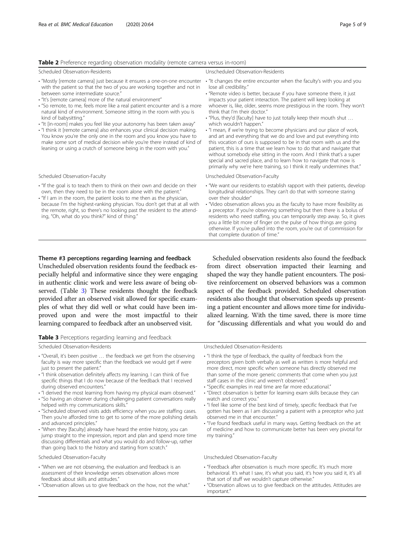## <span id="page-4-0"></span>Table 2 Preference regarding observation modality (remote camera versus in-room)

- "Mostly [remote camera] just because it ensures a one-on-one encounter with the patient so that the two of you are working together and not in between some intermediate source."
- "It's [remote camera] more of the natural environment"
- "So remote, to me, feels more like a real patient encounter and is a more natural kind of environment. Someone sitting in the room with you is kind of babysitting."
- "It [in-room] makes you feel like your autonomy has been taken away"
- "I think it [remote camera] also enhances your clinical decision making. You know you're the only one in the room and you know you have to make some sort of medical decision while you're there instead of kind of leaning or using a crutch of someone being in the room with you."

- "If the goal is to teach them to think on their own and decide on their own, then they need to be in the room alone with the patient."
- "If I am in the room, the patient looks to me then as the physician, because I'm the highest-ranking physician. You don't get that at all with the remote, right, so there's no looking past the resident to the attending, "Oh, what do you think?" kind of thing."

#### Scheduled Observation-Residents Unscheduled Observation-Residents

- "It changes the entire encounter when the faculty's with you and you lose all credibility."
- "Remote video is better, because if you have someone there, it just impacts your patient interaction. The patient will keep looking at whoever is, like, older, seems more prestigious in the room. They won't think that I'm their doctor."
- "Plus, they'd [faculty] have to just totally keep their mouth shut … which wouldn't happen."
- "I mean, if we're trying to become physicians and our place of work, and art and everything that we do and love and put everything into this vocation of ours is supposed to be in that room with us and the patient, this is a time that we learn how to do that and navigate that without somebody else sitting in the room. And I think that's a super special and sacred place, and to learn how to navigate that now is primarily why we're here training, so I think it really undermines that."

Scheduled Observation-Faculty Unscheduled Observation-Faculty

- "We want our residents to establish rapport with their patients, develop longitudinal relationships. They can't do that with someone staring over their shoulder"
- "Video observation allows you as the faculty to have more flexibility as a preceptor. If you're observing something but then there is a bolus of residents who need staffing, you can temporarily step away. So, it gives you a little bit more of finger on the pulse of how things are going otherwise. If you're pulled into the room, you're out of commission for that complete duration of time."

# Theme #3 perceptions regarding learning and feedback

Unscheduled observation residents found the feedback especially helpful and informative since they were engaging in authentic clinic work and were less aware of being observed. (Table 3) These residents thought the feedback provided after an observed visit allowed for specific examples of what they did well or what could have been improved upon and were the most impactful to their learning compared to feedback after an unobserved visit.

Scheduled observation residents also found the feedback from direct observation impacted their learning and shaped the way they handle patient encounters. The positive reinforcement on observed behaviors was a common aspect of the feedback provided. Scheduled observation residents also thought that observation speeds up presenting a patient encounter and allows more time for individualized learning. With the time saved, there is more time for "discussing differentials and what you would do and

# **Table 3** Perceptions regarding learning and feedback

Scheduled Observation-Residents Unscheduled Observation-Residents

- "Overall, it's been positive … the feedback we get from the observing faculty is way more specific than the feedback we would get if were just to present the patient."
- "I think observation definitely affects my learning. I can think of five specific things that I do now because of the feedback that I received during observed encounters."
- "I derived the most learning from having my physical exam observed." • "So having an observer during challenging patient conversations really
- helped with my communications skills.
- "Scheduled observed visits adds efficiency when you are staffing cases. Then you're afforded time to get to some of the more polishing details and advanced principles."
- "When they [faculty] already have heard the entire history, you can jump straight to the impression, report and plan and spend more time discussing differentials and what you would do and follow-up, rather than going back to the history and starting from scratch."

- "When we are not observing, the evaluation and feedback is an assessment of their knowledge verses observation allows more feedback about skills and attitudes."
- "Observation allows us to give feedback on the how, not the what."

• "I think the type of feedback, the quality of feedback from the preceptors given both verbally as well as written is more helpful and more direct, more specific when someone has directly observed me than some of the more generic comments that come when you just staff cases in the clinic and weren't observed."

- "Specific examples in real time are far more educational."
- "Direct observation is better for learning exam skills because they can watch and correct you."
- "I feel like some of the best kind of timely, specific feedback that I've gotten has been as I am discussing a patient with a preceptor who just observed me in that encounter."
- "I've found feedback useful in many ways. Getting feedback on the art of medicine and how to communicate better has been very pivotal for my training."

Scheduled Observation-Faculty Unscheduled Observation-Faculty

- "Feedback after observation is much more specific. It's much more behavioral. It's what I saw, it's what you said, it's how you said it, it's all that sort of stuff we wouldn't capture otherwise."
- "Observation allows us to give feedback on the attitudes. Attitudes are important."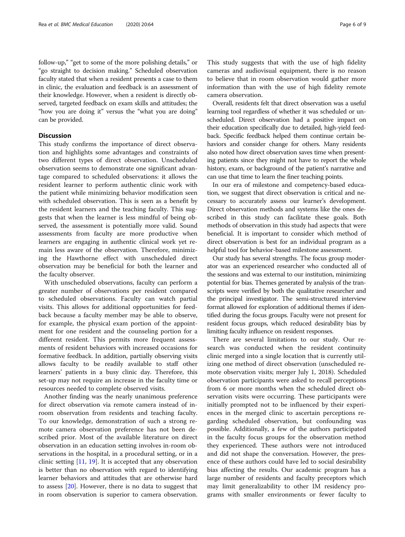follow-up," "get to some of the more polishing details," or "go straight to decision making." Scheduled observation faculty stated that when a resident presents a case to them in clinic, the evaluation and feedback is an assessment of their knowledge. However, when a resident is directly observed, targeted feedback on exam skills and attitudes; the "how you are doing it" versus the "what you are doing" can be provided.

# **Discussion**

This study confirms the importance of direct observation and highlights some advantages and constraints of two different types of direct observation. Unscheduled observation seems to demonstrate one significant advantage compared to scheduled observations: it allows the resident learner to perform authentic clinic work with the patient while minimizing behavior modification seen with scheduled observation. This is seen as a benefit by the resident learners and the teaching faculty. This suggests that when the learner is less mindful of being observed, the assessment is potentially more valid. Sound assessments from faculty are more productive when learners are engaging in authentic clinical work yet remain less aware of the observation. Therefore, minimizing the Hawthorne effect with unscheduled direct observation may be beneficial for both the learner and the faculty observer.

With unscheduled observations, faculty can perform a greater number of observations per resident compared to scheduled observations. Faculty can watch partial visits. This allows for additional opportunities for feedback because a faculty member may be able to observe, for example, the physical exam portion of the appointment for one resident and the counseling portion for a different resident. This permits more frequent assessments of resident behaviors with increased occasions for formative feedback. In addition, partially observing visits allows faculty to be readily available to staff other learners' patients in a busy clinic day. Therefore, this set-up may not require an increase in the faculty time or resources needed to complete observed visits.

Another finding was the nearly unanimous preference for direct observation via remote camera instead of inroom observation from residents and teaching faculty. To our knowledge, demonstration of such a strong remote camera observation preference has not been described prior. Most of the available literature on direct observation in an education setting involves in-room observations in the hospital, in a procedural setting, or in a clinic setting [\[11](#page-7-0), [19](#page-8-0)]. It is accepted that any observation is better than no observation with regard to identifying learner behaviors and attitudes that are otherwise hard to assess  $[20]$ . However, there is no data to suggest that in room observation is superior to camera observation.

This study suggests that with the use of high fidelity cameras and audiovisual equipment, there is no reason to believe that in room observation would gather more information than with the use of high fidelity remote camera observation.

Overall, residents felt that direct observation was a useful learning tool regardless of whether it was scheduled or unscheduled. Direct observation had a positive impact on their education specifically due to detailed, high-yield feedback. Specific feedback helped them continue certain behaviors and consider change for others. Many residents also noted how direct observation saves time when presenting patients since they might not have to report the whole history, exam, or background of the patient's narrative and can use that time to learn the finer teaching points.

In our era of milestone and competency-based education, we suggest that direct observation is critical and necessary to accurately assess our learner's development. Direct observation methods and systems like the ones described in this study can facilitate these goals. Both methods of observation in this study had aspects that were beneficial. It is important to consider which method of direct observation is best for an individual program as a helpful tool for behavior-based milestone assessment.

Our study has several strengths. The focus group moderator was an experienced researcher who conducted all of the sessions and was external to our institution, minimizing potential for bias. Themes generated by analysis of the transcripts were verified by both the qualitative researcher and the principal investigator. The semi-structured interview format allowed for exploration of additional themes if identified during the focus groups. Faculty were not present for resident focus groups, which reduced desirability bias by limiting faculty influence on resident responses.

There are several limitations to our study. Our research was conducted when the resident continuity clinic merged into a single location that is currently utilizing one method of direct observation (unscheduled remote observation visits; merger July 1, 2018). Scheduled observation participants were asked to recall perceptions from 6 or more months when the scheduled direct observation visits were occurring. These participants were initially prompted not to be influenced by their experiences in the merged clinic to ascertain perceptions regarding scheduled observation, but confounding was possible. Additionally, a few of the authors participated in the faculty focus groups for the observation method they experienced. These authors were not introduced and did not shape the conversation. However, the presence of these authors could have led to social desirability bias affecting the results. Our academic program has a large number of residents and faculty preceptors which may limit generalizability to other IM residency programs with smaller environments or fewer faculty to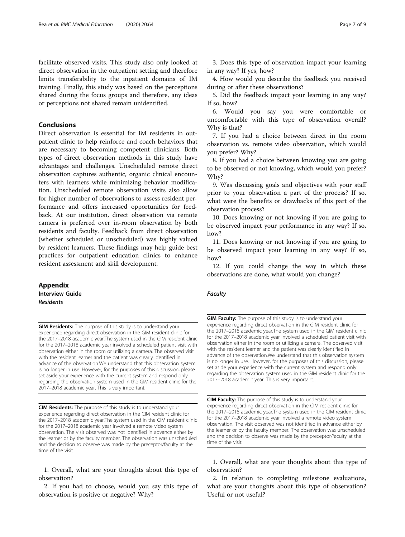<span id="page-6-0"></span>facilitate observed visits. This study also only looked at direct observation in the outpatient setting and therefore limits transferability to the inpatient domains of IM training. Finally, this study was based on the perceptions shared during the focus groups and therefore, any ideas or perceptions not shared remain unidentified.

# Conclusions

Direct observation is essential for IM residents in outpatient clinic to help reinforce and coach behaviors that are necessary to becoming competent clinicians. Both types of direct observation methods in this study have advantages and challenges. Unscheduled remote direct observation captures authentic, organic clinical encounters with learners while minimizing behavior modification. Unscheduled remote observation visits also allow for higher number of observations to assess resident performance and offers increased opportunities for feedback. At our institution, direct observation via remote camera is preferred over in-room observation by both residents and faculty. Feedback from direct observation (whether scheduled or unscheduled) was highly valued by resident learners. These findings may help guide best practices for outpatient education clinics to enhance resident assessment and skill development.

# Appendix Interview Guide Residents

**GIM Residents:** The purpose of this study is to understand your experience regarding direct observation in the GIM resident clinic for the 2017–2018 academic year.The system used in the GIM resident clinic for the 2017–2018 academic year involved a scheduled patient visit with observation either in the room or utilizing a camera. The observed visit with the resident learner and the patient was clearly identified in advance of the observation.We understand that this observation system is no longer in use. However, for the purposes of this discussion, please set aside your experience with the current system and respond only regarding the observation system used in the GIM resident clinic for the 2017–2018 academic year. This is very important.

CIM Residents: The purpose of this study is to understand your experience regarding direct observation in the CIM resident clinic for the 2017–2018 academic year.The system used in the CIM resident clinic for the 2017–2018 academic year involved a remote video system observation. The visit observed was not identified in advance either by the learner or by the faculty member. The observation was unscheduled and the decision to observe was made by the preceptor/faculty at the time of the visit

1. Overall, what are your thoughts about this type of observation?

2. If you had to choose, would you say this type of observation is positive or negative? Why?

3. Does this type of observation impact your learning in any way? If yes, how?

4. How would you describe the feedback you received during or after these observations?

5. Did the feedback impact your learning in any way? If so, how?

6. Would you say you were comfortable or uncomfortable with this type of observation overall? Why is that?

7. If you had a choice between direct in the room observation vs. remote video observation, which would you prefer? Why?

8. If you had a choice between knowing you are going to be observed or not knowing, which would you prefer? Why?

9. Was discussing goals and objectives with your staff prior to your observation a part of the process? If so, what were the benefits or drawbacks of this part of the observation process?

10. Does knowing or not knowing if you are going to be observed impact your performance in any way? If so, how?

11. Does knowing or not knowing if you are going to be observed impact your learning in any way? If so, how?

12. If you could change the way in which these observations are done, what would you change?

# Faculty

GIM Faculty: The purpose of this study is to understand your experience regarding direct observation in the GIM resident clinic for the 2017–2018 academic year.The system used in the GIM resident clinic for the 2017–2018 academic year involved a scheduled patient visit with observation either in the room or utilizing a camera. The observed visit with the resident learner and the patient was clearly identified in advance of the observation.We understand that this observation system is no longer in use. However, for the purposes of this discussion, please set aside your experience with the current system and respond only regarding the observation system used in the GIM resident clinic for the 2017–2018 academic year. This is very important.

CIM Faculty: The purpose of this study is to understand your experience regarding direct observation in the CIM resident clinic for the 2017–2018 academic year.The system used in the CIM resident clinic for the 2017–2018 academic year involved a remote video system observation. The visit observed was not identified in advance either by the learner or by the faculty member. The observation was unscheduled and the decision to observe was made by the preceptor/faculty at the time of the visit.

1. Overall, what are your thoughts about this type of observation?

2. In relation to completing milestone evaluations, what are your thoughts about this type of observation? Useful or not useful?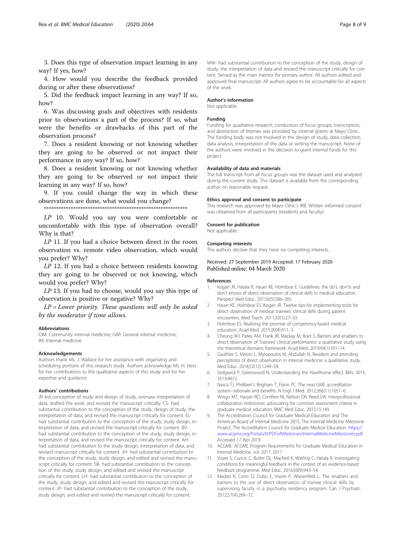<span id="page-7-0"></span>3. Does this type of observation impact learning in any way? If yes, how?

4. How would you describe the feedback provided during or after these observations?

5. Did the feedback impact learning in any way? If so, how?

6. Was discussing goals and objectives with residents prior to observations a part of the process? If so, what were the benefits or drawbacks of this part of the observation process?

7. Does a resident knowing or not knowing whether they are going to be observed or not impact their performance in any way? If so, how?

8. Does a resident knowing or not knowing whether they are going to be observed or not impact their learning in any way? If so, how?

9. If you could change the way in which these observations are done, what would you change?

\*\*\*\*\*\*\*\*\*\*\*\*\*\*\*\*\*\*\*\*\*\*\*\*\*\*\*\*\*\*\*\*\*\*\*\*\*\*\*\*\*\*\*\*\*\*\*\*\*\*\*\*\*\*\*\*\*\*\*

LP 10. Would you say you were comfortable or uncomfortable with this type of observation overall? Why is that?

LP 11. If you had a choice between direct in the room observation vs. remote video observation, which would you prefer? Why?

LP 12. If you had a choice between residents knowing they are going to be observed or not knowing, which would you prefer? Why?

 $LP$  13. If you had to choose, would you say this type of observation is positive or negative? Why?

 $LP = Lower$  priority. These questions will only be asked by the moderator if time allows.

#### Abbreviations

CIM: Community internal medicine; GIM: General internal medicine; IM: Internal medicine

#### Acknowledgements

Authors thank Ms. J. Wallace for her assistance with organizing and scheduling portions of this research study. Authors acknowledge Ms. H. Hess for her contributions to the qualitative aspects of this study and for her expertise and guidance.

#### Authors' contributions

JR led conception of study and design of study, oversaw interpretation of data, drafted the work, and revised the manuscript critically. CS- had substantial contribution to the conception of the study, design of study, the interpretation of data, and revised the manuscript critically for content. ELhad substantial contribution to the conception of the study, study design, interpretation of data, and revised the manuscript critically for content. BVhad substantial contribution to the conception of the study, study design, interpretation of data, and revised the manuscript critically for content. AHhad substantial contribution to the study design, interpretation of data, and revised manuscript critically for content. JH- had substantial contribution to the conception of the study, study design, and edited and revised the manuscript critically for content. SB- had substantial contribution to the conception of the study, study design, and edited and revised the manuscript critically for content. LH- had substantial contribution to the conception of the study, study design, and edited and revised the manuscript critically for content. JP- had substantial contribution to the conception of the study, study design, and edited and revised the manuscript critically for content.

MW- had substantial contribution to the conception of the study, design of study, the interpretation of data and revised the manuscript critically for content. Served as the main mentor for primary author. All authors edited and approved final manuscript. All authors agree to be accountable for all aspects of the work.

#### Author's information

Not applicable

# Funding

Funding for qualitative research, conduction of focus groups, transcription, and abstraction of themes was provided by internal grants at Mayo Clinic. The funding body was not involved in the design of study, data collection, data analysis, interpretation of the data or writing the manuscript. None of the authors were involved in the decision to grant internal funds for this project.

# Availability of data and materials

The full transcript from all focus groups was the dataset used and analyzed during the current study. This dataset is available from the corresponding author on reasonable request.

#### Ethics approval and consent to participate

This research was approved by Mayo Clinic's IRB. Written informed consent was obtained from all participants (residents and faculty).

# Consent for publication

Not applicable.

# Competing interests

The authors declare that they have no competing interests.

Received: 27 September 2019 Accepted: 17 February 2020 Published online: 04 March 2020

#### References

- 1. Kogan JR, Hatala R, Hauer KE, Holmboe E. Guidelines: the do's, don'ts and don't knows of direct observation of clinical skills in medical education. Perspect Med Educ. 2017;6(5):286–305.
- 2. Hauer KE, Holmboe ES, Kogan JR. Twelve tips for implementing tools for direct observation of medical trainees' clinical skills during patient encounters. Med Teach. 2011;33(1):27–33.
- 3. Holmboe ES. Realizing the promise of competency-based medical education. Acad Med. 2015;90(4):411–3.
- 4. Cheung WJ, Patey AM, Frank JR, Mackay M, Boet S. Barriers and enablers to direct observation of Trainees' clinical performance: a qualitative study using the theoretical domains framework. Acad Med. 2019;94(1):101–14.
- 5. Gauthier S, Melvin L, Mylopoulos M, Abdullah N. Resident and attending perceptions of direct observation in internal medicine: a qualitative study. Med Educ. 2018;52(12):1249–58.
- 6. Sedgwick P, Greenwood N. Understanding the Hawthorne effect. BMJ. 2015; 351:h4672.
- 7. Nasca TJ, Philibert I, Brigham T, Flynn TC. The next GME accreditation system--rationale and benefits. N Engl J Med. 2012;366(11):1051–6.
- 8. Wingo MT, Havyer RD, Comfere NI, Nelson DR, Reed DA. Interprofessional collaboration milestones: advocating for common assessment criteria in graduate medical education. BMC Med Educ. 2015;15:149.
- 9. The Accreditation Council for Graduate Medical Education and The American Board of Internal Medicine 2015, The Internal Medicine Milestone Project, The Accreditation Council for Graduate Medical Education. [https://](https://www.acgme.org/Portals/0/PDFs/Milestones/InternalMedicineMilestones.pdf) [www.acgme.org/Portals/0/PDFs/Milestones/InternalMedicineMilestones.pdf.](https://www.acgme.org/Portals/0/PDFs/Milestones/InternalMedicineMilestones.pdf) Accessed 17 Apr 2019.
- 10. ACGME. ACGME Program Requirements for Graduate Medical Education in Internal Medicine, vol. 2017; 2017.
- 11. Voyer S, Cuncic C, Butler DL, MacNeil K, Watling C, Hatala R. Investigating conditions for meaningful feedback in the context of an evidence-based feedback programme. Med Educ. 2016;50(9):943–54.
- 12. Madan R, Conn D, Dubo E, Voore P, Wiesenfeld L. The enablers and barriers to the use of direct observation of trainee clinical skills by supervising faculty in a psychiatry residency program. Can J Psychiatr. 2012;57(4):269–72.